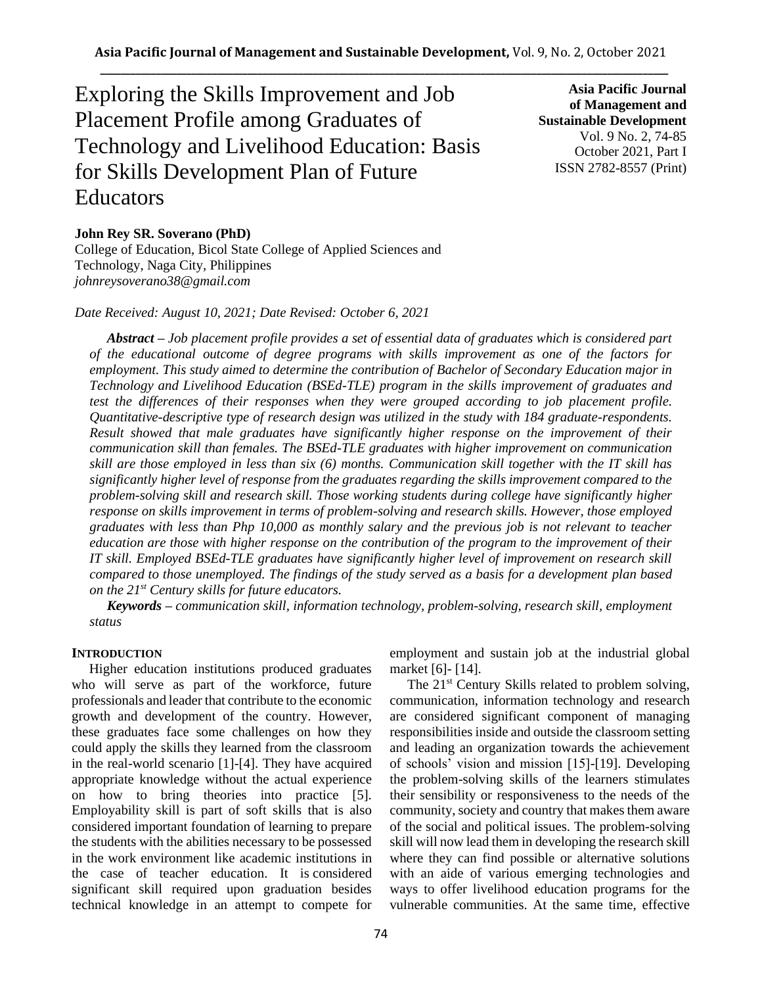Exploring the Skills Improvement and Job Placement Profile among Graduates of Technology and Livelihood Education: Basis for Skills Development Plan of Future Educators

**Asia Pacific Journal of Management and Sustainable Development**  Vol. 9 No. 2, 74-85 October 2021, Part I ISSN 2782-8557 (Print)

## **John Rey SR. Soverano (PhD)**

College of Education, Bicol State College of Applied Sciences and Technology, Naga City, Philippines *johnreysoverano38@gmail.com*

### *Date Received: August 10, 2021; Date Revised: October 6, 2021*

*Abstract – Job placement profile provides a set of essential data of graduates which is considered part of the educational outcome of degree programs with skills improvement as one of the factors for employment. This study aimed to determine the contribution of Bachelor of Secondary Education major in Technology and Livelihood Education (BSEd-TLE) program in the skills improvement of graduates and test the differences of their responses when they were grouped according to job placement profile. Quantitative-descriptive type of research design was utilized in the study with 184 graduate-respondents. Result showed that male graduates have significantly higher response on the improvement of their communication skill than females. The BSEd-TLE graduates with higher improvement on communication skill are those employed in less than six (6) months. Communication skill together with the IT skill has significantly higher level of response from the graduates regarding the skills improvement compared to the problem-solving skill and research skill. Those working students during college have significantly higher response on skills improvement in terms of problem-solving and research skills. However, those employed graduates with less than Php 10,000 as monthly salary and the previous job is not relevant to teacher education are those with higher response on the contribution of the program to the improvement of their IT skill. Employed BSEd-TLE graduates have significantly higher level of improvement on research skill compared to those unemployed. The findings of the study served as a basis for a development plan based on the 21st Century skills for future educators.*

*Keywords – communication skill, information technology, problem-solving, research skill, employment status*

#### **INTRODUCTION**

Higher education institutions produced graduates who will serve as part of the workforce, future professionals and leader that contribute to the economic growth and development of the country. However, these graduates face some challenges on how they could apply the skills they learned from the classroom in the real-world scenario [1]-[4]. They have acquired appropriate knowledge without the actual experience on how to bring theories into practice [5]. Employability skill is part of soft skills that is also considered important foundation of learning to prepare the students with the abilities necessary to be possessed in the work environment like academic institutions in the case of teacher education. It is considered significant skill required upon graduation besides technical knowledge in an attempt to compete for employment and sustain job at the industrial global market [6]- [14].

The 21<sup>st</sup> Century Skills related to problem solving, communication, information technology and research are considered significant component of managing responsibilities inside and outside the classroom setting and leading an organization towards the achievement of schools' vision and mission [15]-[19]. Developing the problem-solving skills of the learners stimulates their sensibility or responsiveness to the needs of the community, society and country that makes them aware of the social and political issues. The problem-solving skill will now lead them in developing the research skill where they can find possible or alternative solutions with an aide of various emerging technologies and ways to offer livelihood education programs for the vulnerable communities. At the same time, effective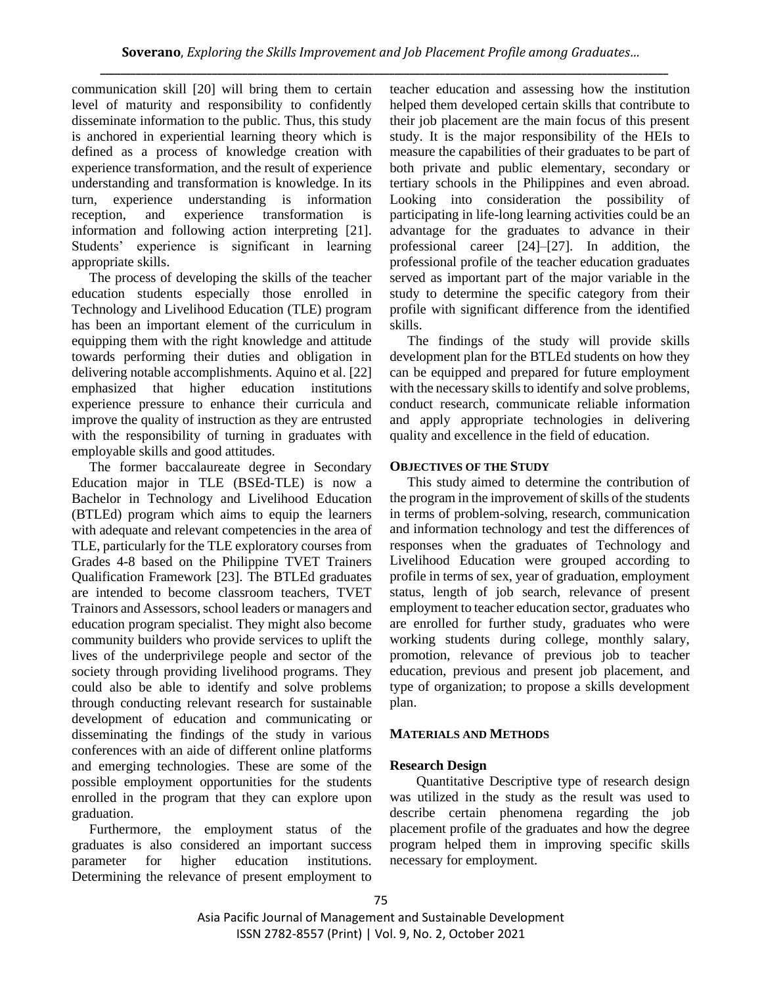communication skill [20] will bring them to certain level of maturity and responsibility to confidently disseminate information to the public. Thus, this study is anchored in experiential learning theory which is defined as a process of knowledge creation with experience transformation, and the result of experience understanding and transformation is knowledge. In its turn, experience understanding is information reception, and experience transformation is information and following action interpreting [21]. Students' experience is significant in learning appropriate skills.

The process of developing the skills of the teacher education students especially those enrolled in Technology and Livelihood Education (TLE) program has been an important element of the curriculum in equipping them with the right knowledge and attitude towards performing their duties and obligation in delivering notable accomplishments. Aquino et al. [22] emphasized that higher education institutions experience pressure to enhance their curricula and improve the quality of instruction as they are entrusted with the responsibility of turning in graduates with employable skills and good attitudes.

The former baccalaureate degree in Secondary Education major in TLE (BSEd-TLE) is now a Bachelor in Technology and Livelihood Education (BTLEd) program which aims to equip the learners with adequate and relevant competencies in the area of TLE, particularly for the TLE exploratory courses from Grades 4-8 based on the Philippine TVET Trainers Qualification Framework [23]. The BTLEd graduates are intended to become classroom teachers, TVET Trainors and Assessors, school leaders or managers and education program specialist. They might also become community builders who provide services to uplift the lives of the underprivilege people and sector of the society through providing livelihood programs. They could also be able to identify and solve problems through conducting relevant research for sustainable development of education and communicating or disseminating the findings of the study in various conferences with an aide of different online platforms and emerging technologies. These are some of the possible employment opportunities for the students enrolled in the program that they can explore upon graduation.

Furthermore, the employment status of the graduates is also considered an important success parameter for higher education institutions. Determining the relevance of present employment to teacher education and assessing how the institution helped them developed certain skills that contribute to their job placement are the main focus of this present study. It is the major responsibility of the HEIs to measure the capabilities of their graduates to be part of both private and public elementary, secondary or tertiary schools in the Philippines and even abroad. Looking into consideration the possibility of participating in life-long learning activities could be an advantage for the graduates to advance in their professional career [24]–[27]. In addition, the professional profile of the teacher education graduates served as important part of the major variable in the study to determine the specific category from their profile with significant difference from the identified skills.

The findings of the study will provide skills development plan for the BTLEd students on how they can be equipped and prepared for future employment with the necessary skills to identify and solve problems, conduct research, communicate reliable information and apply appropriate technologies in delivering quality and excellence in the field of education.

# **OBJECTIVES OF THE STUDY**

This study aimed to determine the contribution of the program in the improvement of skills of the students in terms of problem-solving, research, communication and information technology and test the differences of responses when the graduates of Technology and Livelihood Education were grouped according to profile in terms of sex, year of graduation, employment status, length of job search, relevance of present employment to teacher education sector, graduates who are enrolled for further study, graduates who were working students during college, monthly salary, promotion, relevance of previous job to teacher education, previous and present job placement, and type of organization; to propose a skills development plan.

# **MATERIALS AND METHODS**

# **Research Design**

Quantitative Descriptive type of research design was utilized in the study as the result was used to describe certain phenomena regarding the job placement profile of the graduates and how the degree program helped them in improving specific skills necessary for employment.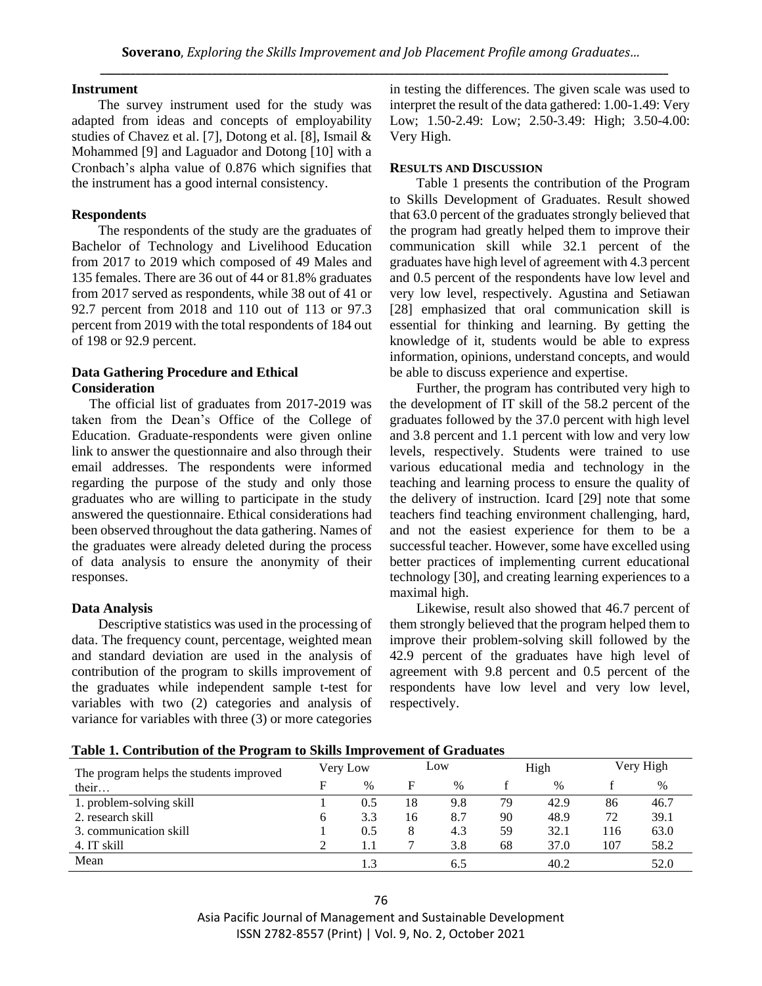## **Instrument**

The survey instrument used for the study was adapted from ideas and concepts of employability studies of Chavez et al. [7], Dotong et al. [8], Ismail & Mohammed [9] and Laguador and Dotong [10] with a Cronbach's alpha value of 0.876 which signifies that the instrument has a good internal consistency.

#### **Respondents**

The respondents of the study are the graduates of Bachelor of Technology and Livelihood Education from 2017 to 2019 which composed of 49 Males and 135 females. There are 36 out of 44 or 81.8% graduates from 2017 served as respondents, while 38 out of 41 or 92.7 percent from 2018 and 110 out of 113 or 97.3 percent from 2019 with the total respondents of 184 out of 198 or 92.9 percent.

# **Data Gathering Procedure and Ethical Consideration**

The official list of graduates from 2017-2019 was taken from the Dean's Office of the College of Education. Graduate-respondents were given online link to answer the questionnaire and also through their email addresses. The respondents were informed regarding the purpose of the study and only those graduates who are willing to participate in the study answered the questionnaire. Ethical considerations had been observed throughout the data gathering. Names of the graduates were already deleted during the process of data analysis to ensure the anonymity of their responses.

# **Data Analysis**

Descriptive statistics was used in the processing of data. The frequency count, percentage, weighted mean and standard deviation are used in the analysis of contribution of the program to skills improvement of the graduates while independent sample t-test for variables with two (2) categories and analysis of variance for variables with three (3) or more categories in testing the differences. The given scale was used to interpret the result of the data gathered: 1.00-1.49: Very Low; 1.50-2.49: Low; 2.50-3.49: High; 3.50-4.00: Very High.

#### **RESULTS AND DISCUSSION**

Table 1 presents the contribution of the Program to Skills Development of Graduates. Result showed that 63.0 percent of the graduates strongly believed that the program had greatly helped them to improve their communication skill while 32.1 percent of the graduates have high level of agreement with 4.3 percent and 0.5 percent of the respondents have low level and very low level, respectively. Agustina and Setiawan [28] emphasized that oral communication skill is essential for thinking and learning. By getting the knowledge of it, students would be able to express information, opinions, understand concepts, and would be able to discuss experience and expertise.

Further, the program has contributed very high to the development of IT skill of the 58.2 percent of the graduates followed by the 37.0 percent with high level and 3.8 percent and 1.1 percent with low and very low levels, respectively. Students were trained to use various educational media and technology in the teaching and learning process to ensure the quality of the delivery of instruction. Icard [29] note that some teachers find teaching environment challenging, hard, and not the easiest experience for them to be a successful teacher. However, some have excelled using better practices of implementing current educational technology [30], and creating learning experiences to a maximal high.

Likewise, result also showed that 46.7 percent of them strongly believed that the program helped them to improve their problem-solving skill followed by the 42.9 percent of the graduates have high level of agreement with 9.8 percent and 0.5 percent of the respondents have low level and very low level, respectively.

| The program helps the students improved | Very Low |               | Low |      |    | High |     | Very High |  |
|-----------------------------------------|----------|---------------|-----|------|----|------|-----|-----------|--|
| their                                   | F        | $\frac{0}{0}$ | F   | $\%$ |    | $\%$ |     | %         |  |
| 1. problem-solving skill                |          | 0.5           | 18  | 9.8  | 79 | 42.9 | 86  | 46.7      |  |
| 2. research skill                       | b        | 3.3           | 16  | 8.7  | 90 | 48.9 | 72  | 39.1      |  |
| 3. communication skill                  |          | 0.5           | ◠   | 4.3  | 59 | 32.1 | 116 | 63.0      |  |
| 4. IT skill                             |          | 1.1           |     | 3.8  | 68 | 37.0 | 107 | 58.2      |  |
| Mean                                    |          |               |     | 6.5  |    | 40.2 |     | 52.0      |  |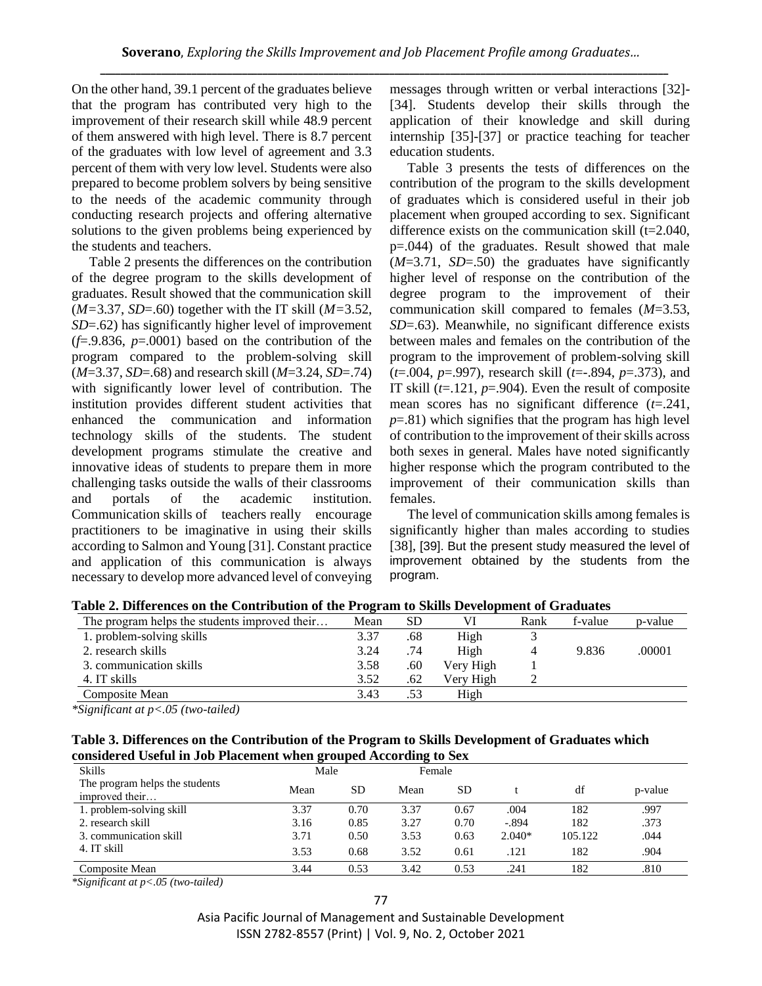On the other hand, 39.1 percent of the graduates believe that the program has contributed very high to the improvement of their research skill while 48.9 percent of them answered with high level. There is 8.7 percent of the graduates with low level of agreement and 3.3 percent of them with very low level. Students were also prepared to become problem solvers by being sensitive to the needs of the academic community through conducting research projects and offering alternative solutions to the given problems being experienced by the students and teachers.

Table 2 presents the differences on the contribution of the degree program to the skills development of graduates. Result showed that the communication skill (*M=*3.37, *SD*=.60) together with the IT skill (*M=*3.52, *SD*=.62) has significantly higher level of improvement  $(f=9.836, p=.0001)$  based on the contribution of the program compared to the problem-solving skill (*M*=3.37, *SD*=.68) and research skill (*M*=3.24, *SD*=.74) with significantly lower level of contribution. The institution provides different student activities that enhanced the communication and information technology skills of the students. The student development programs stimulate the creative and innovative ideas of students to prepare them in more challenging tasks outside the walls of their classrooms and portals of the academic institution. Communication skills of teachers really encourage practitioners to be imaginative in using their skills according to Salmon and Young [31]. Constant practice and application of this communication is always necessary to develop more advanced level of conveying messages through written or verbal interactions [32]- [34]. Students develop their skills through the application of their knowledge and skill during internship [35]-[37] or practice teaching for teacher education students.

Table 3 presents the tests of differences on the contribution of the program to the skills development of graduates which is considered useful in their job placement when grouped according to sex. Significant difference exists on the communication skill (t=2.040, p=.044) of the graduates. Result showed that male (*M*=3.71, *SD*=.50) the graduates have significantly higher level of response on the contribution of the degree program to the improvement of their communication skill compared to females (*M*=3.53, *SD*=.63). Meanwhile, no significant difference exists between males and females on the contribution of the program to the improvement of problem-solving skill (*t*=.004, *p*=.997), research skill (*t*=-.894, *p*=.373), and IT skill  $(t=121, p=0.904)$ . Even the result of composite mean scores has no significant difference (*t*=.241,  $p=81$ ) which signifies that the program has high level of contribution to the improvement of their skills across both sexes in general. Males have noted significantly higher response which the program contributed to the improvement of their communication skills than females.

The level of communication skills among females is significantly higher than males according to studies [38], [39]. But the present study measured the level of improvement obtained by the students from the program.

| Tuoit =i Dhitti chteo on the Contribution of the Tightin to Dhing Detectority of Gruumvo |     |           |      |         |         |  |  |  |  |  |  |
|------------------------------------------------------------------------------------------|-----|-----------|------|---------|---------|--|--|--|--|--|--|
| Mean                                                                                     | SD  |           | Rank | f-value | p-value |  |  |  |  |  |  |
| 3.37                                                                                     | .68 | High      |      |         |         |  |  |  |  |  |  |
| 3.24                                                                                     | .74 | High      | 4    | 9.836   | .00001  |  |  |  |  |  |  |
| 3.58                                                                                     | .60 | Very High |      |         |         |  |  |  |  |  |  |
| 3.52                                                                                     | .62 | Verv High |      |         |         |  |  |  |  |  |  |
| 3.43                                                                                     | .53 | High      |      |         |         |  |  |  |  |  |  |
|                                                                                          |     |           |      |         |         |  |  |  |  |  |  |

**Table 2. Differences on the Contribution of the Program to Skills Development of Graduates**

*\*Significant at p<.05 (two-tailed)*

### **Table 3. Differences on the Contribution of the Program to Skills Development of Graduates which considered Useful in Job Placement when grouped According to Sex**

| <b>Skills</b>                                    | Male |      | Female |      |          |         |         |
|--------------------------------------------------|------|------|--------|------|----------|---------|---------|
| The program helps the students<br>improved their | Mean | SD   | Mean   | SD   |          | df      | p-value |
| 1. problem-solving skill                         | 3.37 | 0.70 | 3.37   | 0.67 | .004     | 182     | .997    |
| 2. research skill                                | 3.16 | 0.85 | 3.27   | 0.70 | $-.894$  | 182     | .373    |
| 3. communication skill                           | 3.71 | 0.50 | 3.53   | 0.63 | $2.040*$ | 105.122 | .044    |
| 4. IT skill                                      | 3.53 | 0.68 | 3.52   | 0.61 | .121     | 182     | .904    |
| Composite Mean                                   | 3.44 | 0.53 | 3.42   | 0.53 | .241     | 182     | .810    |

*\*Significant at p<.05 (two-tailed)*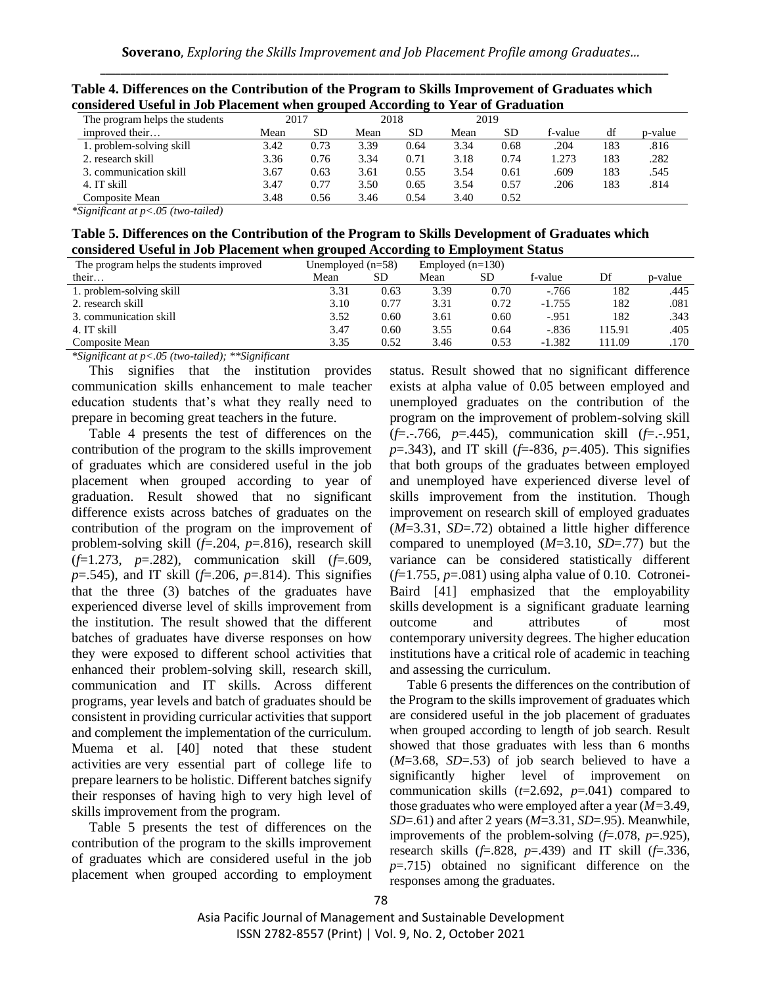| Considéred Oscial III Job I facement when grouped According to Tear of Graduation |      |      |      |           |      |      |         |     |         |  |  |  |
|-----------------------------------------------------------------------------------|------|------|------|-----------|------|------|---------|-----|---------|--|--|--|
| The program helps the students                                                    | 2017 |      | 2018 |           | 2019 |      |         |     |         |  |  |  |
| improved their                                                                    | Mean | SD.  | Mean | <b>SD</b> | Mean | SD   | f-value | df  | p-value |  |  |  |
| 1. problem-solving skill                                                          | 3.42 | 0.73 | 3.39 | 0.64      | 3.34 | 0.68 | .204    | 183 | .816    |  |  |  |
| 2. research skill                                                                 | 3.36 | 0.76 | 3.34 | 0.71      | 3.18 | 0.74 | 1.273   | 183 | .282    |  |  |  |
| 3. communication skill                                                            | 3.67 | 0.63 | 3.61 | 0.55      | 3.54 | 0.61 | .609    | 183 | .545    |  |  |  |
| 4. IT skill                                                                       | 3.47 | 0.77 | 3.50 | 0.65      | 3.54 | 0.57 | .206    | 183 | .814    |  |  |  |
| Composite Mean                                                                    | 3.48 | 0.56 | 3.46 | 0.54      | 3.40 | 0.52 |         |     |         |  |  |  |

**Table 4. Differences on the Contribution of the Program to Skills Improvement of Graduates which considered Useful in Job Placement when grouped According to Year of Graduation** 

*\*Significant at p<.05 (two-tailed)*

| Table 5. Differences on the Contribution of the Program to Skills Development of Graduates which |
|--------------------------------------------------------------------------------------------------|
| considered Useful in Job Placement when grouped According to Employment Status                   |

| The program helps the students improved |      | Unemployed $(n=58)$<br>Employed $(n=130)$ |      |           |          |        |         |
|-----------------------------------------|------|-------------------------------------------|------|-----------|----------|--------|---------|
| their                                   | Mean | SD.                                       | Mean | <b>SD</b> | f-value  | Df     | p-value |
| 1. problem-solving skill                | 3.31 | 0.63                                      | 3.39 | 0.70      | $-766$   | 182    | .445    |
| 2. research skill                       | 3.10 | 0.77                                      | 3.31 | 0.72      | $-1.755$ | 182    | .081    |
| 3. communication skill                  | 3.52 | 0.60                                      | 3.61 | 0.60      | $-.951$  | 182    | .343    |
| 4. IT skill                             | 3.47 | 0.60                                      | 3.55 | 0.64      | $-.836$  | 115.91 | .405    |
| Composite Mean                          | 3.35 | 0.52                                      | 3.46 | 0.53      | $-1.382$ | 111.09 | .170    |

*\*Significant at p<.05 (two-tailed); \*\*Significant*

This signifies that the institution provides communication skills enhancement to male teacher education students that's what they really need to prepare in becoming great teachers in the future.

Table 4 presents the test of differences on the contribution of the program to the skills improvement of graduates which are considered useful in the job placement when grouped according to year of graduation. Result showed that no significant difference exists across batches of graduates on the contribution of the program on the improvement of problem-solving skill (*f*=.204, *p*=.816), research skill (*f*=1.273, *p*=.282), communication skill (*f*=.609, *p*=.545), and IT skill (*f*=.206, *p*=.814). This signifies that the three (3) batches of the graduates have experienced diverse level of skills improvement from the institution. The result showed that the different batches of graduates have diverse responses on how they were exposed to different school activities that enhanced their problem-solving skill, research skill, communication and IT skills. Across different programs, year levels and batch of graduates should be consistent in providing curricular activities that support and complement the implementation of the curriculum. Muema et al. [40] noted that these student activities are very essential part of college life to prepare learners to be holistic. Different batches signify their responses of having high to very high level of skills improvement from the program.

Table 5 presents the test of differences on the contribution of the program to the skills improvement of graduates which are considered useful in the job placement when grouped according to employment status. Result showed that no significant difference exists at alpha value of 0.05 between employed and unemployed graduates on the contribution of the program on the improvement of problem-solving skill (*f*=.-.766, *p*=.445), communication skill (*f*=.-.951, *p*=.343), and IT skill (*f*=-836, *p*=.405). This signifies that both groups of the graduates between employed and unemployed have experienced diverse level of skills improvement from the institution. Though improvement on research skill of employed graduates (*M*=3.31, *SD*=.72) obtained a little higher difference compared to unemployed (*M*=3.10, *SD*=.77) but the variance can be considered statistically different  $(f=1.755, p=.081)$  using alpha value of 0.10. Cotronei-Baird [41] emphasized that the employability skills development is a significant graduate learning outcome and attributes of most contemporary university degrees. The higher education institutions have a critical role of academic in teaching and assessing the curriculum.

Table 6 presents the differences on the contribution of the Program to the skills improvement of graduates which are considered useful in the job placement of graduates when grouped according to length of job search. Result showed that those graduates with less than 6 months (*M*=3.68, *SD*=.53) of job search believed to have a significantly higher level of improvement on communication skills (*t*=2.692, *p*=.041) compared to those graduates who were employed after a year (*M=*3.49, *SD*=.61) and after 2 years (*M*=3.31, *SD*=.95). Meanwhile, improvements of the problem-solving (*f*=.078, *p*=.925), research skills (*f*=.828, *p*=.439) and IT skill (*f*=.336, *p*=.715) obtained no significant difference on the responses among the graduates.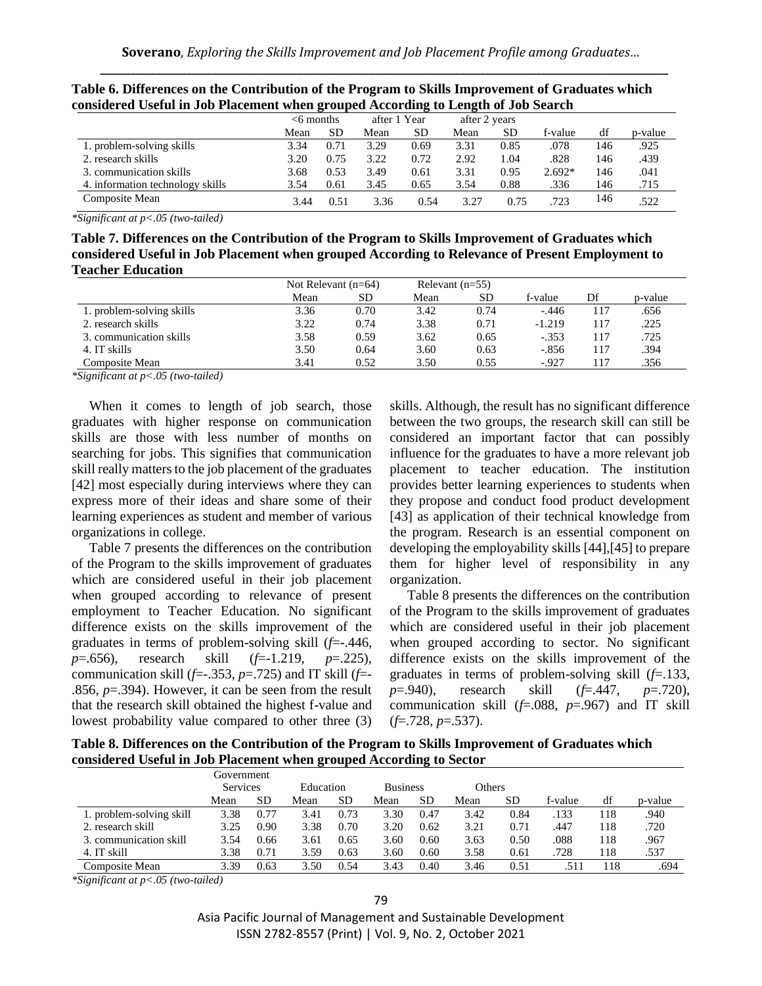| considered Useful in Job Placement when grouped According to Length of Job Search |      |              |      |              |      |               |          |     |         |  |  |  |
|-----------------------------------------------------------------------------------|------|--------------|------|--------------|------|---------------|----------|-----|---------|--|--|--|
|                                                                                   |      | $<$ 6 months |      | after 1 Year |      | after 2 years |          |     |         |  |  |  |
|                                                                                   | Mean | <b>SD</b>    | Mean | <b>SD</b>    | Mean | <b>SD</b>     | f-value  | df  | p-value |  |  |  |
| 1. problem-solving skills                                                         | 3.34 | 0.71         | 3.29 | 0.69         | 3.31 | 0.85          | .078     | 146 | .925    |  |  |  |
| 2. research skills                                                                | 3.20 | 0.75         | 3.22 | 0.72         | 2.92 | 1.04          | .828     | 146 | .439    |  |  |  |
| 3. communication skills                                                           | 3.68 | 0.53         | 3.49 | 0.61         | 3.31 | 0.95          | $2.692*$ | 146 | .041    |  |  |  |
| 4. information technology skills                                                  | 3.54 | 0.61         | 3.45 | 0.65         | 3.54 | 0.88          | .336     | 146 | .715    |  |  |  |
| Composite Mean                                                                    | 3.44 | 0.51         | 3.36 | 0.54         | 3.27 | 0.75          | .723     | 146 | 522     |  |  |  |

| Table 6. Differences on the Contribution of the Program to Skills Improvement of Graduates which |
|--------------------------------------------------------------------------------------------------|
| considered Useful in Job Placement when grouped According to Length of Job Search                |

*\*Significant at p<.05 (two-tailed)*

**Table 7. Differences on the Contribution of the Program to Skills Improvement of Graduates which considered Useful in Job Placement when grouped According to Relevance of Present Employment to Teacher Education** 

|                           |      | Not Relevant $(n=64)$ |      | Relevant $(n=55)$ |          |     |         |
|---------------------------|------|-----------------------|------|-------------------|----------|-----|---------|
|                           | Mean | SD                    | Mean | SD                | f-value  | Df  | p-value |
| 1. problem-solving skills | 3.36 | 0.70                  | 3.42 | 0.74              | $-446$   | 117 | .656    |
| 2. research skills        | 3.22 | 0.74                  | 3.38 | 0.71              | $-1.219$ | 117 | .225    |
| 3. communication skills   | 3.58 | 0.59                  | 3.62 | 0.65              | $-.353$  | 117 | .725    |
| 4. IT skills              | 3.50 | 0.64                  | 3.60 | 0.63              | $-.856$  | 117 | .394    |
| Composite Mean            | 3.41 | 0.52                  | 3.50 | 0.55              | $-927$   | 117 | .356    |

*\*Significant at p<.05 (two-tailed)*

When it comes to length of job search, those graduates with higher response on communication skills are those with less number of months on searching for jobs. This signifies that communication skill really matters to the job placement of the graduates [42] most especially during interviews where they can express more of their ideas and share some of their learning experiences as student and member of various organizations in college.

Table 7 presents the differences on the contribution of the Program to the skills improvement of graduates which are considered useful in their job placement when grouped according to relevance of present employment to Teacher Education. No significant difference exists on the skills improvement of the graduates in terms of problem-solving skill (*f*=-.446, *p*=.656), research skill (*f*=-1.219, *p*=.225), communication skill ( $f = -0.353$ ,  $p = 0.725$ ) and IT skill ( $f = -1$ .856, *p*=.394). However, it can be seen from the result that the research skill obtained the highest f-value and lowest probability value compared to other three (3) skills. Although, the result has no significant difference between the two groups, the research skill can still be considered an important factor that can possibly influence for the graduates to have a more relevant job placement to teacher education. The institution provides better learning experiences to students when they propose and conduct food product development [43] as application of their technical knowledge from the program. Research is an essential component on developing the employability skills [44],[45] to prepare them for higher level of responsibility in any organization.

Table 8 presents the differences on the contribution of the Program to the skills improvement of graduates which are considered useful in their job placement when grouped according to sector. No significant difference exists on the skills improvement of the graduates in terms of problem-solving skill (*f*=.133, *p*=.940), research skill (*f*=.447, *p*=.720), communication skill (*f*=.088, *p*=.967) and IT skill (*f*=.728, *p*=.537).

**Table 8. Differences on the Contribution of the Program to Skills Improvement of Graduates which considered Useful in Job Placement when grouped According to Sector**

|                          | Government      |           |           |      |      |                           |      |      |         |      |         |
|--------------------------|-----------------|-----------|-----------|------|------|---------------------------|------|------|---------|------|---------|
|                          | <b>Services</b> |           | Education |      |      | Others<br><b>Business</b> |      |      |         |      |         |
|                          | Mean            | <b>SD</b> | Mean      | SD   | Mean | SD                        | Mean | SD   | f-value | df   | p-value |
| 1. problem-solving skill | 3.38            | 0.77      | 3.41      | 0.73 | 3.30 | 0.47                      | 3.42 | 0.84 | .133    | l 18 | .940    |
| 2. research skill        | 3.25            | 0.90      | 3.38      | 0.70 | 3.20 | 0.62                      | 3.21 | 0.71 | 447     | 118  | .720    |
| 3. communication skill   | 3.54            | 0.66      | 3.61      | 0.65 | 3.60 | 0.60                      | 3.63 | 0.50 | .088    | 118  | .967    |
| 4. IT skill              | 3.38            | 0.71      | 3.59      | 0.63 | 3.60 | 0.60                      | 3.58 | 0.61 | .728    | 118  | .537    |
| Composite Mean           | 3.39            | 0.63      | 3.50      | 0.54 | 3.43 | 0.40                      | 3.46 | 0.51 |         | 118  | .694    |

*\*Significant at p<.05 (two-tailed)*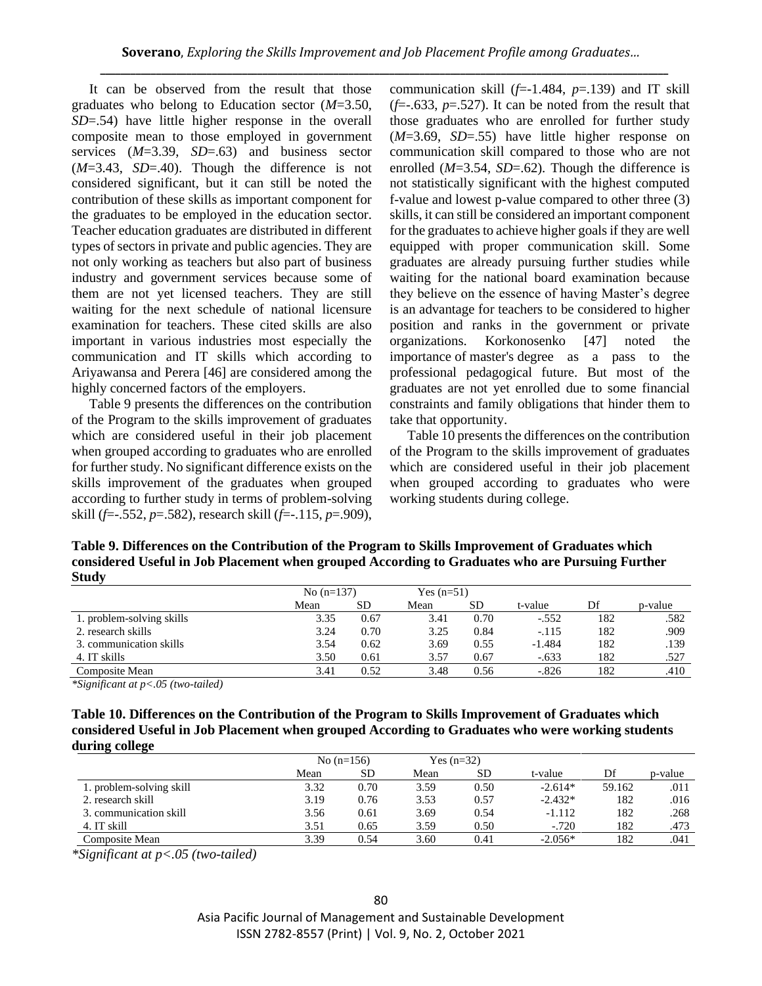It can be observed from the result that those graduates who belong to Education sector (*M*=3.50, *SD*=.54) have little higher response in the overall composite mean to those employed in government services (*M*=3.39, *SD*=.63) and business sector (*M*=3.43, *SD*=.40). Though the difference is not considered significant, but it can still be noted the contribution of these skills as important component for the graduates to be employed in the education sector. Teacher education graduates are distributed in different types of sectors in private and public agencies. They are not only working as teachers but also part of business industry and government services because some of them are not yet licensed teachers. They are still waiting for the next schedule of national licensure examination for teachers. These cited skills are also important in various industries most especially the communication and IT skills which according to Ariyawansa and Perera [46] are considered among the highly concerned factors of the employers.

Table 9 presents the differences on the contribution of the Program to the skills improvement of graduates which are considered useful in their job placement when grouped according to graduates who are enrolled for further study. No significant difference exists on the skills improvement of the graduates when grouped according to further study in terms of problem-solving skill (*f*=-.552, *p*=.582), research skill (*f*=-.115, *p*=.909), communication skill  $(f=1.484, p=.139)$  and IT skill  $(f=-.633, p=.527)$ . It can be noted from the result that those graduates who are enrolled for further study (*M*=3.69, *SD*=.55) have little higher response on communication skill compared to those who are not enrolled (*M*=3.54, *SD*=.62). Though the difference is not statistically significant with the highest computed f-value and lowest p-value compared to other three (3) skills, it can still be considered an important component for the graduates to achieve higher goals if they are well equipped with proper communication skill. Some graduates are already pursuing further studies while waiting for the national board examination because they believe on the essence of having Master's degree is an advantage for teachers to be considered to higher position and ranks in the government or private organizations. Korkonosenko [47] noted the importance of master's degree as a pass to the professional pedagogical future. But most of the graduates are not yet enrolled due to some financial constraints and family obligations that hinder them to take that opportunity.

Table 10 presents the differences on the contribution of the Program to the skills improvement of graduates which are considered useful in their job placement when grouped according to graduates who were working students during college.

**Table 9. Differences on the Contribution of the Program to Skills Improvement of Graduates which considered Useful in Job Placement when grouped According to Graduates who are Pursuing Further Study** 

|                           | No $(n=137)$ |           | Yes $(n=51)$ |           |          |     |         |
|---------------------------|--------------|-----------|--------------|-----------|----------|-----|---------|
|                           | Mean         | <b>SD</b> | Mean         | <b>SD</b> | t-value  | Df  | p-value |
| 1. problem-solving skills | 3.35         | 0.67      | 3.41         | 0.70      | $-.552$  | 182 | .582    |
| 2. research skills        | 3.24         | 0.70      | 3.25         | 0.84      | $-.115$  | 182 | .909    |
| 3. communication skills   | 3.54         | 0.62      | 3.69         | 0.55      | $-1.484$ | 182 | .139    |
| 4. IT skills              | 3.50         | 0.61      | 3.57         | 0.67      | $-.633$  | 182 | .527    |
| Composite Mean            | 3.41         | 0.52      | 3.48         | 0.56      | $-.826$  | 182 | .410    |

*\*Significant at p<.05 (two-tailed)*

| Table 10. Differences on the Contribution of the Program to Skills Improvement of Graduates which |
|---------------------------------------------------------------------------------------------------|
| considered Useful in Job Placement when grouped According to Graduates who were working students  |
| during college                                                                                    |

|                          |      | No $(n=156)$ |      | Yes $(n=32)$ |           |        |         |
|--------------------------|------|--------------|------|--------------|-----------|--------|---------|
|                          | Mean | SD           | Mean | SD           | t-value   | Df     | p-value |
| 1. problem-solving skill | 3.32 | 0.70         | 3.59 | 0.50         | $-2.614*$ | 59.162 | .011    |
| 2. research skill        | 3.19 | 0.76         | 3.53 | 0.57         | $-2.432*$ | 182    | .016    |
| 3. communication skill   | 3.56 | 0.61         | 3.69 | 0.54         | $-1.112$  | 182    | 268     |
| 4. IT skill              | 3.51 | 0.65         | 3.59 | 0.50         | $-.720$   | 182    | .473    |
| Composite Mean           | 3.39 | 0.54         | 3.60 | 0.41         | $-2.056*$ | 182    | .041    |

*\*Significant at p<.05 (two-tailed)*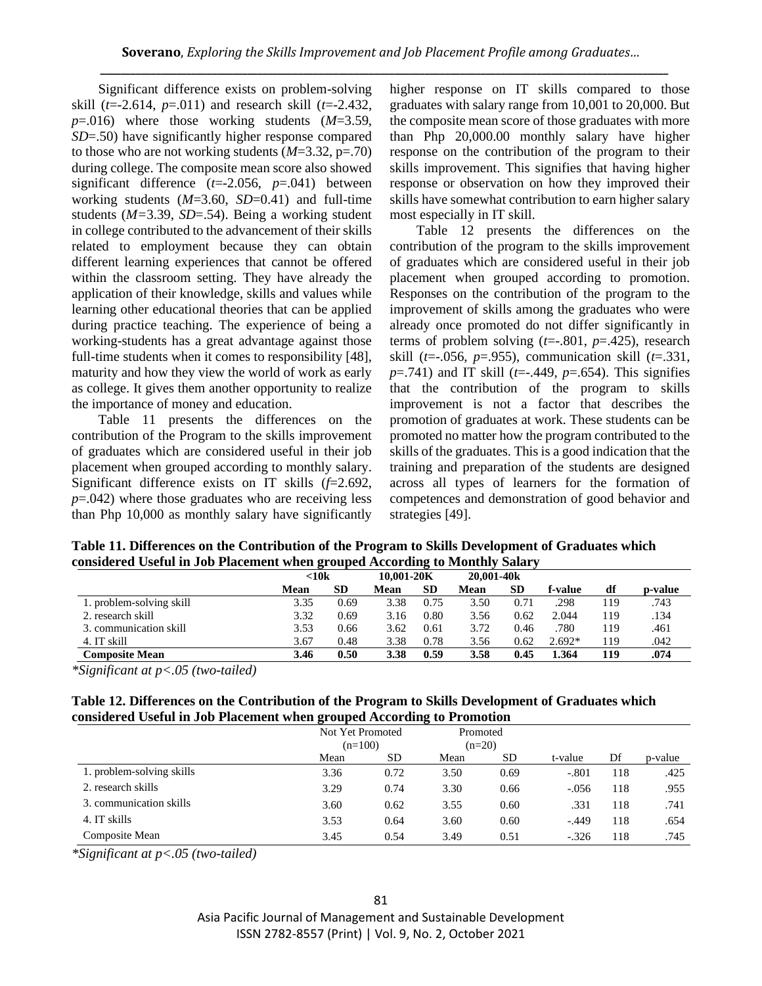Significant difference exists on problem-solving skill (*t*=-2.614, *p*=.011) and research skill (*t*=-2.432, *p*=.016) where those working students (*M*=3.59, *SD*=.50) have significantly higher response compared to those who are not working students (*M*=3.32, p=.70) during college. The composite mean score also showed significant difference (*t*=-2.056, *p*=.041) between working students (*M*=3.60, *SD*=0.41) and full-time students (*M=*3.39, *SD*=.54). Being a working student in college contributed to the advancement of their skills related to employment because they can obtain different learning experiences that cannot be offered within the classroom setting. They have already the application of their knowledge, skills and values while learning other educational theories that can be applied during practice teaching. The experience of being a working-students has a great advantage against those full-time students when it comes to responsibility [48], maturity and how they view the world of work as early as college. It gives them another opportunity to realize the importance of money and education.

Table 11 presents the differences on the contribution of the Program to the skills improvement of graduates which are considered useful in their job placement when grouped according to monthly salary. Significant difference exists on IT skills (*f*=2.692, *p*=.042) where those graduates who are receiving less than Php 10,000 as monthly salary have significantly higher response on IT skills compared to those graduates with salary range from 10,001 to 20,000. But the composite mean score of those graduates with more than Php 20,000.00 monthly salary have higher response on the contribution of the program to their skills improvement. This signifies that having higher response or observation on how they improved their skills have somewhat contribution to earn higher salary most especially in IT skill.

Table 12 presents the differences on the contribution of the program to the skills improvement of graduates which are considered useful in their job placement when grouped according to promotion. Responses on the contribution of the program to the improvement of skills among the graduates who were already once promoted do not differ significantly in terms of problem solving (*t*=-.801, *p*=.425), research skill (*t*=-.056, *p*=.955), communication skill (*t*=.331, *p*=.741) and IT skill (*t*=-.449, *p*=.654). This signifies that the contribution of the program to skills improvement is not a factor that describes the promotion of graduates at work. These students can be promoted no matter how the program contributed to the skills of the graduates. This is a good indication that the training and preparation of the students are designed across all types of learners for the formation of competences and demonstration of good behavior and strategies [49].

**Table 11. Differences on the Contribution of the Program to Skills Development of Graduates which considered Useful in Job Placement when grouped According to Monthly Salary**

|                          | $<$ 10 $k$ |      | 10.001-20K |           | 20.001-40k |      |          |     |         |
|--------------------------|------------|------|------------|-----------|------------|------|----------|-----|---------|
|                          | Mean       | SD   | Mean       | <b>SD</b> | Mean       | SD   | f-value  | df  | p-value |
| 1. problem-solving skill | 3.35       | 0.69 | 3.38       | 0.75      | 3.50       | 0.71 | .298     | 119 | .743    |
| 2. research skill        | 3.32       | 0.69 | 3.16       | 0.80      | 3.56       | 0.62 | 2.044    | 119 | .134    |
| 3. communication skill   | 3.53       | 0.66 | 3.62       | 0.61      | 3.72       | 0.46 | .780     | 119 | .461    |
| 4. IT skill              | 3.67       | 0.48 | 3.38       | 0.78      | 3.56       | 0.62 | $2.692*$ | 119 | .042    |
| <b>Composite Mean</b>    | 3.46       | 0.50 | 3.38       | 0.59      | 3.58       | 0.45 | .364     | 119 | .074    |

*\*Significant at p<.05 (two-tailed)*

| Table 12. Differences on the Contribution of the Program to Skills Development of Graduates which |
|---------------------------------------------------------------------------------------------------|
| considered Useful in Job Placement when grouped According to Promotion                            |

|                           | Not Yet Promoted |           |      | Promoted |         |     |         |
|---------------------------|------------------|-----------|------|----------|---------|-----|---------|
|                           | $(n=100)$        |           |      | $(n=20)$ |         |     |         |
|                           | Mean             | <b>SD</b> | Mean | SD       | t-value | Df  | p-value |
| 1. problem-solving skills | 3.36             | 0.72      | 3.50 | 0.69     | $-.801$ | 118 | .425    |
| 2. research skills        | 3.29             | 0.74      | 3.30 | 0.66     | $-.056$ | 118 | .955    |
| 3. communication skills   | 3.60             | 0.62      | 3.55 | 0.60     | .331    | 118 | .741    |
| 4. IT skills              | 3.53             | 0.64      | 3.60 | 0.60     | $-.449$ | 118 | .654    |
| Composite Mean            | 3.45             | 0.54      | 3.49 | 0.51     | $-.326$ | 118 | .745    |

*\*Significant at p<.05 (two-tailed)*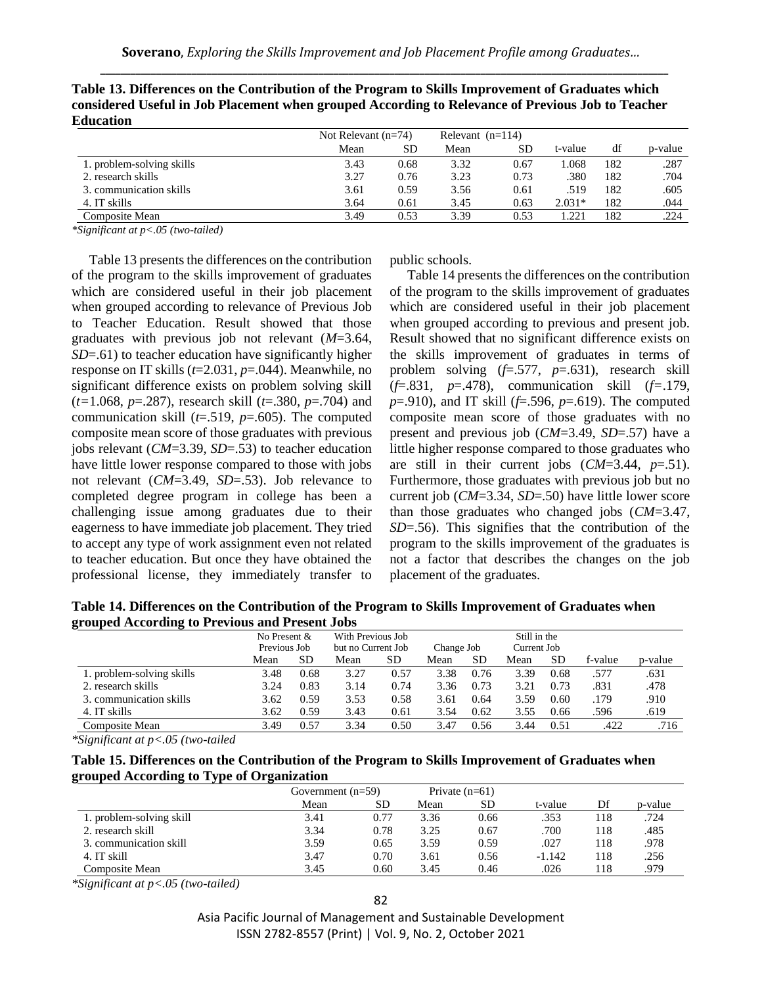| Luucauon                  |                       |      |                    |      |          |     |         |
|---------------------------|-----------------------|------|--------------------|------|----------|-----|---------|
|                           | Not Relevant $(n=74)$ |      | Relevant $(n=114)$ |      |          |     |         |
|                           | Mean                  | SD   | Mean               | SD   | t-value  | df  | p-value |
| 1. problem-solving skills | 3.43                  | 0.68 | 3.32               | 0.67 | l.068    | 182 | .287    |
| 2. research skills        | 3.27                  | 0.76 | 3.23               | 0.73 | .380     | 182 | .704    |
| 3. communication skills   | 3.61                  | 0.59 | 3.56               | 0.61 | .519     | 182 | .605    |
| 4. IT skills              | 3.64                  | 0.61 | 3.45               | 0.63 | $2.031*$ | 182 | .044    |
| Composite Mean            | 3.49                  | 0.53 | 3.39               | 0.53 | . 221    | 182 | .224    |

**Table 13. Differences on the Contribution of the Program to Skills Improvement of Graduates which considered Useful in Job Placement when grouped According to Relevance of Previous Job to Teacher Education**

*\*Significant at p<.05 (two-tailed)*

Table 13 presents the differences on the contribution of the program to the skills improvement of graduates which are considered useful in their job placement when grouped according to relevance of Previous Job to Teacher Education. Result showed that those graduates with previous job not relevant (*M*=3.64, *SD*=.61) to teacher education have significantly higher response on IT skills (*t*=2.031, *p*=.044). Meanwhile, no significant difference exists on problem solving skill (*t=*1.068, *p*=.287), research skill (*t*=.380, *p*=.704) and communication skill (*t*=.519, *p*=.605). The computed composite mean score of those graduates with previous jobs relevant (*CM*=3.39, *SD*=.53) to teacher education have little lower response compared to those with jobs not relevant (*CM*=3.49, *SD*=.53). Job relevance to completed degree program in college has been a challenging issue among graduates due to their eagerness to have immediate job placement. They tried to accept any type of work assignment even not related to teacher education. But once they have obtained the professional license, they immediately transfer to public schools.

Table 14 presents the differences on the contribution of the program to the skills improvement of graduates which are considered useful in their job placement when grouped according to previous and present job. Result showed that no significant difference exists on the skills improvement of graduates in terms of problem solving (*f*=.577, *p*=.631), research skill (*f*=.831, *p*=.478), communication skill (*f=*.179, *p*=.910), and IT skill (*f*=.596, *p*=.619). The computed composite mean score of those graduates with no present and previous job (*CM*=3.49, *SD*=.57) have a little higher response compared to those graduates who are still in their current jobs (*CM*=3.44, *p*=.51). Furthermore, those graduates with previous job but no current job (*CM*=3.34, *SD*=.50) have little lower score than those graduates who changed jobs (*CM*=3.47, *SD*=.56). This signifies that the contribution of the program to the skills improvement of the graduates is not a factor that describes the changes on the job placement of the graduates.

**Table 14. Differences on the Contribution of the Program to Skills Improvement of Graduates when grouped According to Previous and Present Jobs**

|                           | No Present &<br>Previous Job |           | With Previous Job<br>but no Current Job |      | Change Job |           | Still in the<br>Current Job |           |         |         |
|---------------------------|------------------------------|-----------|-----------------------------------------|------|------------|-----------|-----------------------------|-----------|---------|---------|
|                           | Mean                         | <b>SD</b> | Mean                                    | SD.  | Mean       | <b>SD</b> | Mean                        | <b>SD</b> | f-value | p-value |
| 1. problem-solving skills | 3.48                         | 0.68      | 3.27                                    | 0.57 | 3.38       | 0.76      | 3.39                        | 0.68      | .577    | .631    |
| 2. research skills        | 3.24                         | 0.83      | 3.14                                    | 0.74 | 3.36       | 0.73      | 3.21                        | 0.73      | .831    | .478    |
| 3. communication skills   | 3.62                         | 0.59      | 3.53                                    | 0.58 | 3.61       | 0.64      | 3.59                        | 0.60      | .179    | .910    |
| 4. IT skills              | 3.62                         | 0.59      | 3.43                                    | 0.61 | 3.54       | 0.62      | 3.55                        | 0.66      | .596    | .619    |
| Composite Mean            | 3.49                         | 0.57      | 3.34                                    | 0.50 | 3.47       | 0.56      | 3.44                        | 0.51      | .422    | .716    |

*\*Significant at p<.05 (two-tailed*

**Table 15. Differences on the Contribution of the Program to Skills Improvement of Graduates when grouped According to Type of Organization** 

| $\sim$                   | Government $(n=59)$ |      |      | Private $(n=61)$ |          |     |         |
|--------------------------|---------------------|------|------|------------------|----------|-----|---------|
|                          | Mean                | SD   | Mean | <b>SD</b>        | t-value  | Df  | p-value |
| 1. problem-solving skill | 3.41                | 0.77 | 3.36 | 0.66             | .353     | 118 | .724    |
| 2. research skill        | 3.34                | 0.78 | 3.25 | 0.67             | .700     | 118 | .485    |
| 3. communication skill   | 3.59                | 0.65 | 3.59 | 0.59             | .027     | 118 | 978     |
| 4. IT skill              | 3.47                | 0.70 | 3.61 | 0.56             | $-1.142$ | 118 | .256    |
| Composite Mean           | 3.45                | 0.60 | 3.45 | 0.46             | .026     | 18  | .979    |

*\*Significant at p<.05 (two-tailed)*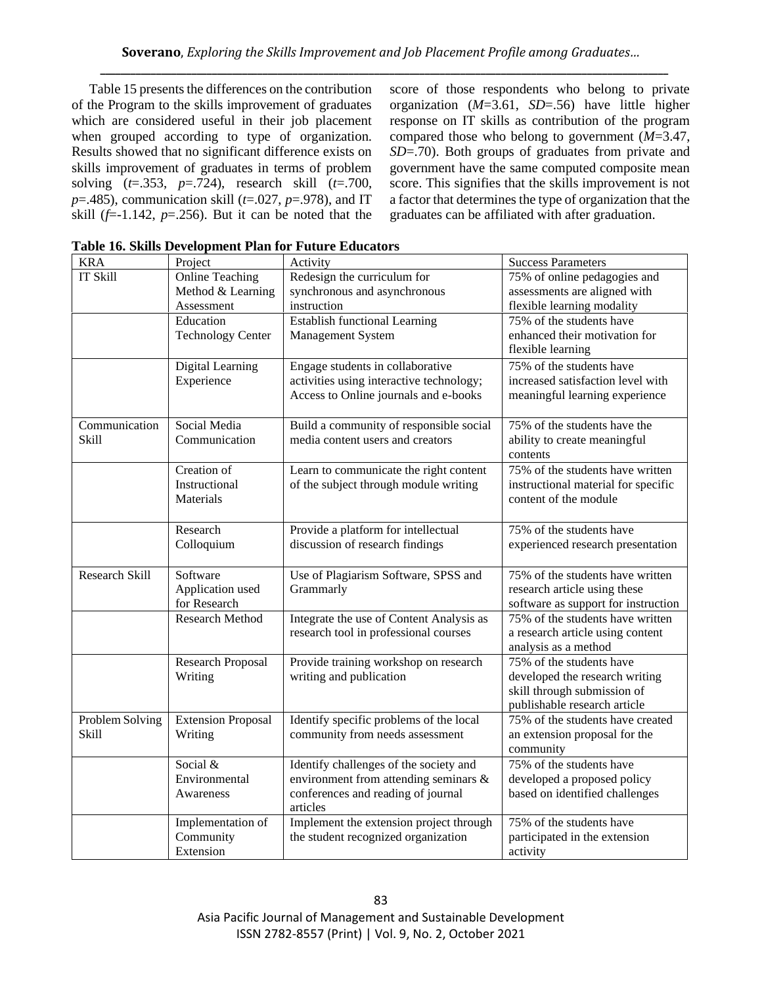Table 15 presents the differences on the contribution of the Program to the skills improvement of graduates which are considered useful in their job placement when grouped according to type of organization. Results showed that no significant difference exists on skills improvement of graduates in terms of problem solving (*t*=.353, *p*=.724), research skill (*t*=.700, *p*=.485), communication skill (*t*=.027, *p*=.978), and IT skill  $(f=1.142, p=.256)$ . But it can be noted that the score of those respondents who belong to private organization (*M*=3.61, *SD*=.56) have little higher response on IT skills as contribution of the program compared those who belong to government (*M*=3.47, *SD*=.70). Both groups of graduates from private and government have the same computed composite mean score. This signifies that the skills improvement is not a factor that determines the type of organization that the graduates can be affiliated with after graduation.

| <b>KRA</b>            | Project                   | Activity                                       | <b>Success Parameters</b>                |
|-----------------------|---------------------------|------------------------------------------------|------------------------------------------|
| <b>IT Skill</b>       | <b>Online Teaching</b>    | Redesign the curriculum for                    | 75% of online pedagogies and             |
|                       | Method & Learning         | synchronous and asynchronous                   | assessments are aligned with             |
|                       | Assessment                | instruction                                    | flexible learning modality               |
|                       | Education                 | <b>Establish functional Learning</b>           | 75% of the students have                 |
|                       | <b>Technology Center</b>  | Management System                              | enhanced their motivation for            |
|                       |                           |                                                | flexible learning                        |
|                       | Digital Learning          | Engage students in collaborative               | 75% of the students have                 |
|                       | Experience                | activities using interactive technology;       | increased satisfaction level with        |
|                       |                           | Access to Online journals and e-books          | meaningful learning experience           |
|                       |                           |                                                |                                          |
| Communication         | Social Media              | Build a community of responsible social        | 75% of the students have the             |
| Skill                 | Communication             | media content users and creators               | ability to create meaningful<br>contents |
|                       | Creation of               | Learn to communicate the right content         | 75% of the students have written         |
|                       | Instructional             | of the subject through module writing          | instructional material for specific      |
|                       | Materials                 |                                                | content of the module                    |
|                       |                           |                                                |                                          |
|                       | Research                  | Provide a platform for intellectual            | 75% of the students have                 |
|                       | Colloquium                | discussion of research findings                | experienced research presentation        |
| <b>Research Skill</b> | Software                  | Use of Plagiarism Software, SPSS and           | 75% of the students have written         |
|                       | Application used          | Grammarly                                      | research article using these             |
|                       | for Research              |                                                | software as support for instruction      |
|                       | <b>Research Method</b>    | Integrate the use of Content Analysis as       | 75% of the students have written         |
|                       |                           | research tool in professional courses          | a research article using content         |
|                       |                           |                                                | analysis as a method                     |
|                       | <b>Research Proposal</b>  | Provide training workshop on research          | 75% of the students have                 |
|                       | Writing                   | writing and publication                        | developed the research writing           |
|                       |                           |                                                | skill through submission of              |
|                       |                           |                                                | publishable research article             |
| Problem Solving       | <b>Extension Proposal</b> | Identify specific problems of the local        | 75% of the students have created         |
| <b>Skill</b>          | Writing                   | community from needs assessment                | an extension proposal for the            |
|                       |                           |                                                | community                                |
|                       | Social &                  | Identify challenges of the society and         | 75% of the students have                 |
|                       | Environmental             | environment from attending seminars &          | developed a proposed policy              |
|                       | Awareness                 | conferences and reading of journal<br>articles | based on identified challenges           |
|                       | Implementation of         | Implement the extension project through        | 75% of the students have                 |
|                       | Community                 | the student recognized organization            | participated in the extension            |
|                       | Extension                 |                                                | activity                                 |

| Table 16. Skills Development Plan for Future Educators |
|--------------------------------------------------------|
|--------------------------------------------------------|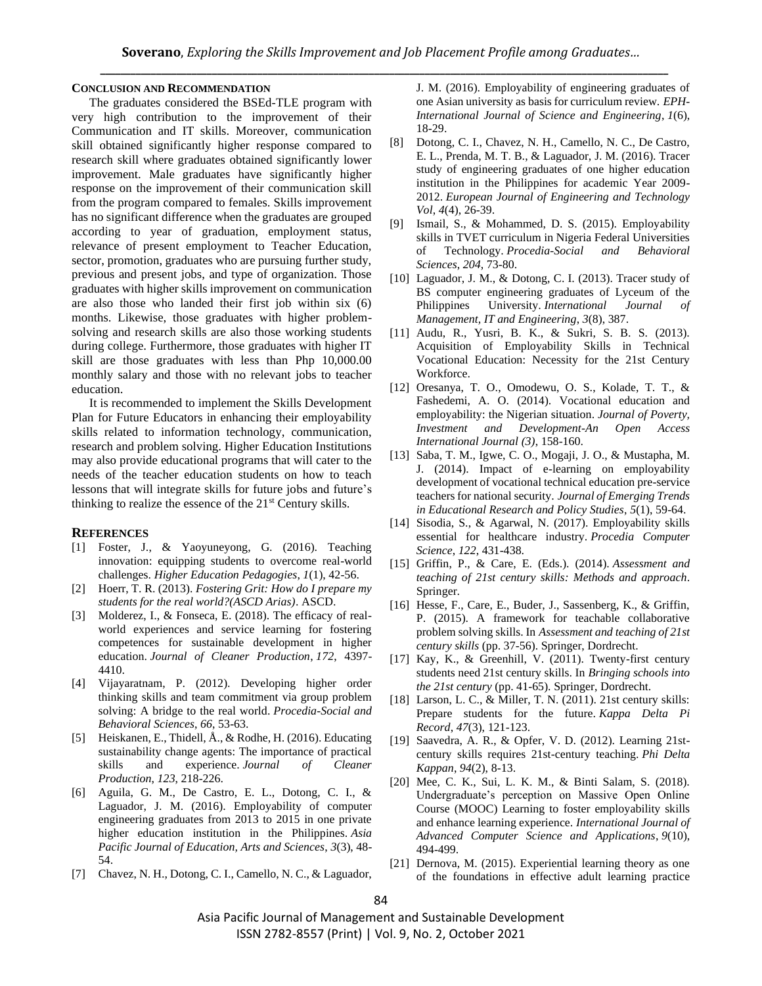#### **CONCLUSION AND RECOMMENDATION**

The graduates considered the BSEd-TLE program with very high contribution to the improvement of their Communication and IT skills. Moreover, communication skill obtained significantly higher response compared to research skill where graduates obtained significantly lower improvement. Male graduates have significantly higher response on the improvement of their communication skill from the program compared to females. Skills improvement has no significant difference when the graduates are grouped according to year of graduation, employment status, relevance of present employment to Teacher Education, sector, promotion, graduates who are pursuing further study, previous and present jobs, and type of organization. Those graduates with higher skills improvement on communication are also those who landed their first job within six (6) months. Likewise, those graduates with higher problemsolving and research skills are also those working students during college. Furthermore, those graduates with higher IT skill are those graduates with less than Php 10,000.00 monthly salary and those with no relevant jobs to teacher education.

It is recommended to implement the Skills Development Plan for Future Educators in enhancing their employability skills related to information technology, communication, research and problem solving. Higher Education Institutions may also provide educational programs that will cater to the needs of the teacher education students on how to teach lessons that will integrate skills for future jobs and future's thinking to realize the essence of the  $21<sup>st</sup>$  Century skills.

#### **REFERENCES**

- [1] Foster, J., & Yaoyuneyong, G. (2016). Teaching innovation: equipping students to overcome real-world challenges. *Higher Education Pedagogies*, *1*(1), 42-56.
- [2] Hoerr, T. R. (2013). *Fostering Grit: How do I prepare my students for the real world?(ASCD Arias)*. ASCD.
- [3] Molderez, I., & Fonseca, E. (2018). The efficacy of realworld experiences and service learning for fostering competences for sustainable development in higher education. *Journal of Cleaner Production*, *172*, 4397- 4410.
- [4] Vijayaratnam, P. (2012). Developing higher order thinking skills and team commitment via group problem solving: A bridge to the real world. *Procedia-Social and Behavioral Sciences*, *66*, 53-63.
- [5] Heiskanen, E., Thidell, Å., & Rodhe, H. (2016). Educating sustainability change agents: The importance of practical skills and experience. *Journal of Cleaner Production*, *123*, 218-226.
- [6] Aguila, G. M., De Castro, E. L., Dotong, C. I., & Laguador, J. M. (2016). Employability of computer engineering graduates from 2013 to 2015 in one private higher education institution in the Philippines. *Asia Pacific Journal of Education, Arts and Sciences*, *3*(3), 48- 54.
- [7] Chavez, N. H., Dotong, C. I., Camello, N. C., & Laguador,

J. M. (2016). Employability of engineering graduates of one Asian university as basis for curriculum review. *EPH-International Journal of Science and Engineering*, *1*(6), 18-29.

- [8] Dotong, C. I., Chavez, N. H., Camello, N. C., De Castro, E. L., Prenda, M. T. B., & Laguador, J. M. (2016). Tracer study of engineering graduates of one higher education institution in the Philippines for academic Year 2009- 2012. *European Journal of Engineering and Technology Vol*, *4*(4), 26-39.
- [9] Ismail, S., & Mohammed, D. S. (2015). Employability skills in TVET curriculum in Nigeria Federal Universities of Technology. *Procedia-Social and Behavioral Sciences*, *204*, 73-80.
- [10] Laguador, J. M., & Dotong, C. I. (2013). Tracer study of BS computer engineering graduates of Lyceum of the Philippines University. *International Journal Management, IT and Engineering*, *3*(8), 387.
- [11] Audu, R., Yusri, B. K., & Sukri, S. B. S. (2013). Acquisition of Employability Skills in Technical Vocational Education: Necessity for the 21st Century Workforce.
- [12] Oresanya, T. O., Omodewu, O. S., Kolade, T. T., & Fashedemi, A. O. (2014). Vocational education and employability: the Nigerian situation. *Journal of Poverty, Investment and Development-An Open Access International Journal (3)*, 158-160.
- [13] Saba, T. M., Igwe, C. O., Mogaji, J. O., & Mustapha, M. J. (2014). Impact of e-learning on employability development of vocational technical education pre-service teachers for national security. *Journal of Emerging Trends in Educational Research and Policy Studies*, *5*(1), 59-64.
- [14] Sisodia, S., & Agarwal, N. (2017). Employability skills essential for healthcare industry. *Procedia Computer Science*, *122*, 431-438.
- [15] Griffin, P., & Care, E. (Eds.). (2014). *Assessment and teaching of 21st century skills: Methods and approach*. Springer.
- [16] Hesse, F., Care, E., Buder, J., Sassenberg, K., & Griffin, P. (2015). A framework for teachable collaborative problem solving skills. In *Assessment and teaching of 21st century skills* (pp. 37-56). Springer, Dordrecht.
- [17] Kay, K., & Greenhill, V. (2011). Twenty-first century students need 21st century skills. In *Bringing schools into the 21st century* (pp. 41-65). Springer, Dordrecht.
- [18] Larson, L. C., & Miller, T. N. (2011). 21st century skills: Prepare students for the future. *Kappa Delta Pi Record*, *47*(3), 121-123.
- [19] Saavedra, A. R., & Opfer, V. D. (2012). Learning 21stcentury skills requires 21st-century teaching. *Phi Delta Kappan*, *94*(2), 8-13.
- [20] Mee, C. K., Sui, L. K. M., & Binti Salam, S. (2018). Undergraduate's perception on Massive Open Online Course (MOOC) Learning to foster employability skills and enhance learning experience. *International Journal of Advanced Computer Science and Applications*, *9*(10), 494-499.
- [21] Dernova, M. (2015). Experiential learning theory as one of the foundations in effective adult learning practice